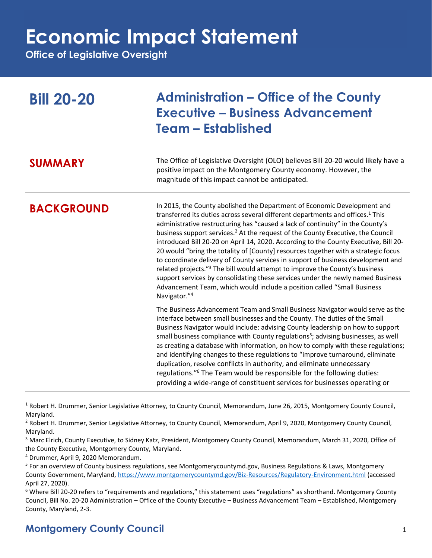**Office of Legislative Oversight**

| <b>Bill 20-20</b> | <b>Administration – Office of the County</b><br><b>Executive - Business Advancement</b><br><b>Team - Established</b>                                                                                                                                                                                                                                                                                                                                                                                                                                                                                                                                                                                                                                                                                                                                                                               |
|-------------------|----------------------------------------------------------------------------------------------------------------------------------------------------------------------------------------------------------------------------------------------------------------------------------------------------------------------------------------------------------------------------------------------------------------------------------------------------------------------------------------------------------------------------------------------------------------------------------------------------------------------------------------------------------------------------------------------------------------------------------------------------------------------------------------------------------------------------------------------------------------------------------------------------|
| <b>SUMMARY</b>    | The Office of Legislative Oversight (OLO) believes Bill 20-20 would likely have a<br>positive impact on the Montgomery County economy. However, the<br>magnitude of this impact cannot be anticipated.                                                                                                                                                                                                                                                                                                                                                                                                                                                                                                                                                                                                                                                                                             |
| <b>BACKGROUND</b> | In 2015, the County abolished the Department of Economic Development and<br>transferred its duties across several different departments and offices. <sup>1</sup> This<br>administrative restructuring has "caused a lack of continuity" in the County's<br>business support services. <sup>2</sup> At the request of the County Executive, the Council<br>introduced Bill 20-20 on April 14, 2020. According to the County Executive, Bill 20-<br>20 would "bring the totality of [County] resources together with a strategic focus<br>to coordinate delivery of County services in support of business development and<br>related projects." <sup>3</sup> The bill would attempt to improve the County's business<br>support services by consolidating these services under the newly named Business<br>Advancement Team, which would include a position called "Small Business<br>Navigator."4 |
|                   | The Business Advancement Team and Small Business Navigator would serve as the<br>interface between small businesses and the County. The duties of the Small<br>Business Navigator would include: advising County leadership on how to support<br>small business compliance with County regulations <sup>5</sup> ; advising businesses, as well<br>as creating a database with information, on how to comply with these regulations;<br>and identifying changes to these regulations to "improve turnaround, eliminate<br>duplication, resolve conflicts in authority, and eliminate unnecessary<br>regulations." <sup>6</sup> The Team would be responsible for the following duties:<br>providing a wide-range of constituent services for businesses operating or                                                                                                                                |

 $1$  Robert H. Drummer, Senior Legislative Attorney, to County Council, Memorandum, June 26, 2015, Montgomery County Council, Maryland.

<sup>2</sup> Robert H. Drummer, Senior Legislative Attorney, to County Council, Memorandum, April 9, 2020, Montgomery County Council, Maryland.

<sup>3</sup> Marc Elrich, County Executive, to Sidney Katz, President, Montgomery County Council, Memorandum, March 31, 2020, Office of the County Executive, Montgomery County, Maryland.

<sup>4</sup> Drummer, April 9, 2020 Memorandum.

 $6$  Where Bill 20-20 refers to "requirements and regulations," this statement uses "regulations" as shorthand. Montgomery County Council, Bill No. 20-20 Administration – Office of the County Executive – Business Advancement Team – Established, Montgomery County, Maryland, 2-3.

### **Montgomery County Council** 1

<sup>&</sup>lt;sup>5</sup> For an overview of County business regulations, see Montgomerycountymd.gov, Business Regulations & Laws, Montgomery County Government, Maryland,<https://www.montgomerycountymd.gov/Biz-Resources/Regulatory-Environment.html> (accessed April 27, 2020).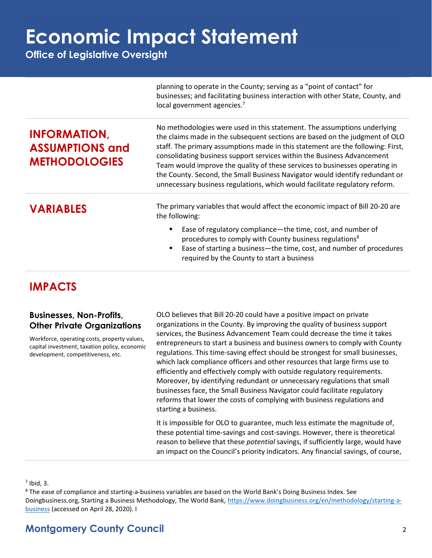**Office of Legislative Oversight**

|                                                                       | planning to operate in the County; serving as a "point of contact" for<br>businesses; and facilitating business interaction with other State, County, and<br>local government agencies. <sup>7</sup>                                                                                                                                                                                                                                                                                                                                                                |
|-----------------------------------------------------------------------|---------------------------------------------------------------------------------------------------------------------------------------------------------------------------------------------------------------------------------------------------------------------------------------------------------------------------------------------------------------------------------------------------------------------------------------------------------------------------------------------------------------------------------------------------------------------|
| <b>INFORMATION,</b><br><b>ASSUMPTIONS and</b><br><b>METHODOLOGIES</b> | No methodologies were used in this statement. The assumptions underlying<br>the claims made in the subsequent sections are based on the judgment of OLO<br>staff. The primary assumptions made in this statement are the following: First,<br>consolidating business support services within the Business Advancement<br>Team would improve the quality of these services to businesses operating in<br>the County. Second, the Small Business Navigator would identify redundant or<br>unnecessary business regulations, which would facilitate regulatory reform. |
| <b>VARIABLES</b>                                                      | The primary variables that would affect the economic impact of Bill 20-20 are<br>the following:<br>Ease of regulatory compliance-the time, cost, and number of<br>procedures to comply with County business regulations <sup>8</sup><br>Ease of starting a business-the time, cost, and number of procedures<br>required by the County to start a business                                                                                                                                                                                                          |

### **IMPACTS**

### **Businesses, Non-Profits, Other Private Organizations**

Workforce, operating costs, property values, capital investment, taxation policy, economic development, competitiveness, etc.

OLO believes that Bill 20-20 could have a positive impact on private organizations in the County. By improving the quality of business support services, the Business Advancement Team could decrease the time it takes entrepreneurs to start a business and business owners to comply with County regulations. This time-saving effect should be strongest for small businesses, which lack compliance officers and other resources that large firms use to efficiently and effectively comply with outside regulatory requirements. Moreover, by identifying redundant or unnecessary regulations that small businesses face, the Small Business Navigator could facilitate regulatory reforms that lower the costs of complying with business regulations and starting a business.

It is impossible for OLO to guarantee, much less estimate the magnitude of, these potential time-savings and cost-savings. However, there is theoretical reason to believe that these *potential* savings, if sufficiently large, would have an impact on the Council's priority indicators. Any financial savings, of course,

 $<sup>7</sup>$  Ibid, 3.</sup>

<sup>8</sup> The ease of compliance and starting-a-business variables are based on the World Bank's Doing Business Index. See Doingbusiness.org, Starting a Business Methodology, The World Bank[, https://www.doingbusiness.org/en/methodology/starting-a](https://www.doingbusiness.org/en/methodology/starting-a-business)[business](https://www.doingbusiness.org/en/methodology/starting-a-business) (accessed on April 28, 2020). I

### **Montgomery County Council** 2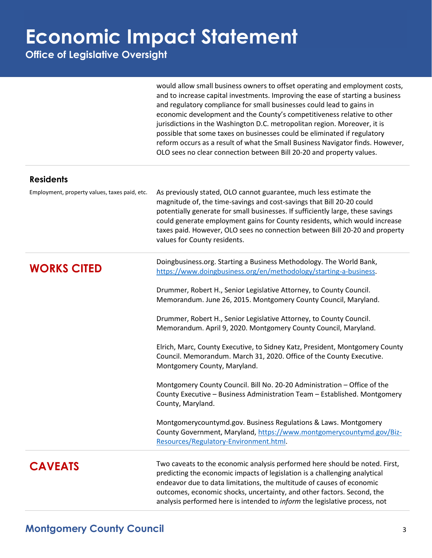**Office of Legislative Oversight**

would allow small business owners to offset operating and employment costs, and to increase capital investments. Improving the ease of starting a business and regulatory compliance for small businesses could lead to gains in economic development and the County's competitiveness relative to other jurisdictions in the Washington D.C. metropolitan region. Moreover, it is possible that some taxes on businesses could be eliminated if regulatory reform occurs as a result of what the Small Business Navigator finds. However, OLO sees no clear connection between Bill 20-20 and property values.

| Employment, property values, taxes paid, etc. | As previously stated, OLO cannot guarantee, much less estimate the<br>magnitude of, the time-savings and cost-savings that Bill 20-20 could<br>potentially generate for small businesses. If sufficiently large, these savings<br>could generate employment gains for County residents, which would increase<br>taxes paid. However, OLO sees no connection between Bill 20-20 and property<br>values for County residents. |
|-----------------------------------------------|-----------------------------------------------------------------------------------------------------------------------------------------------------------------------------------------------------------------------------------------------------------------------------------------------------------------------------------------------------------------------------------------------------------------------------|
| <b>WORKS CITED</b>                            | Doingbusiness.org. Starting a Business Methodology. The World Bank,<br>https://www.doingbusiness.org/en/methodology/starting-a-business.                                                                                                                                                                                                                                                                                    |
|                                               | Drummer, Robert H., Senior Legislative Attorney, to County Council.<br>Memorandum. June 26, 2015. Montgomery County Council, Maryland.                                                                                                                                                                                                                                                                                      |
|                                               | Drummer, Robert H., Senior Legislative Attorney, to County Council.<br>Memorandum. April 9, 2020. Montgomery County Council, Maryland.                                                                                                                                                                                                                                                                                      |
|                                               | Elrich, Marc, County Executive, to Sidney Katz, President, Montgomery County<br>Council. Memorandum. March 31, 2020. Office of the County Executive.<br>Montgomery County, Maryland.                                                                                                                                                                                                                                        |
|                                               | Montgomery County Council. Bill No. 20-20 Administration - Office of the<br>County Executive - Business Administration Team - Established. Montgomery<br>County, Maryland.                                                                                                                                                                                                                                                  |
|                                               | Montgomerycountymd.gov. Business Regulations & Laws. Montgomery<br>County Government, Maryland, https://www.montgomerycountymd.gov/Biz-<br>Resources/Regulatory-Environment.html.                                                                                                                                                                                                                                           |
| <b>CAVEATS</b>                                | Two caveats to the economic analysis performed here should be noted. First,<br>predicting the economic impacts of legislation is a challenging analytical<br>endeavor due to data limitations, the multitude of causes of economic<br>outcomes, economic shocks, uncertainty, and other factors. Second, the<br>analysis performed here is intended to <i>inform</i> the legislative process, not                           |